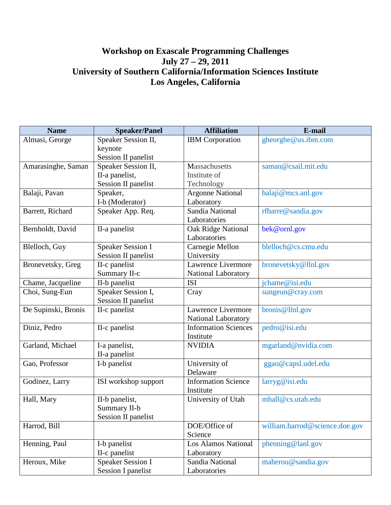## **Workshop on Exascale Programming Challenges July 27 – 29, 2011 University of Southern California/Information Sciences Institute Los Angeles, California**

| <b>Name</b>         | <b>Speaker/Panel</b>       | <b>Affiliation</b>          | E-mail                         |
|---------------------|----------------------------|-----------------------------|--------------------------------|
| Almasi, George      | Speaker Session II,        | <b>IBM</b> Corporation      | gheorghe@us.ibm.com            |
|                     | keynote                    |                             |                                |
|                     | <b>Session II panelist</b> |                             |                                |
| Amarasinghe, Saman  | Speaker Session II,        | Massachusetts               | saman@csail.mit.edu            |
|                     | II-a panelist,             | Institute of                |                                |
|                     | <b>Session II panelist</b> | Technology                  |                                |
| Balaji, Pavan       | Speaker,                   | <b>Argonne National</b>     | balaji@mcs.anl.gov             |
|                     | I-b (Moderator)            | Laboratory                  |                                |
| Barrett, Richard    | Speaker App. Req.          | Sandia National             | rfbarre@sandia.gov             |
|                     |                            | Laboratories                |                                |
| Bernholdt, David    | II-a panelist              | <b>Oak Ridge National</b>   | bek@ornl.gov                   |
|                     |                            | Laboratories                |                                |
| Blelloch, Guy       | <b>Speaker Session I</b>   | Carnegie Mellon             | blelloch@cs.cmu.edu            |
|                     | Session II panelist        | University                  |                                |
| Bronevetsky, Greg   | II-c panelist              | Lawrence Livermore          | bronevetsky@llnl.gov           |
|                     | Summary II-c               | National Laboratory         |                                |
| Chame, Jacqueline   | II-b panelist              | <b>ISI</b>                  | jchame@isi.edu                 |
| Choi, Sung-Eun      | Speaker Session I,         | Cray                        | sungeun@cray.com               |
|                     | <b>Session II panelist</b> |                             |                                |
| De Supinski, Bronis | II-c panelist              | Lawrence Livermore          | bronis@llnl.gov                |
|                     |                            | <b>National Laboratory</b>  |                                |
| Diniz, Pedro        | II-c panelist              | <b>Information Sciences</b> | pedro@isi.edu                  |
|                     |                            | Institute                   |                                |
| Garland, Michael    | I-a panelist,              | <b>NVIDIA</b>               | mgarland@nvidia.com            |
|                     | II-a panelist              |                             |                                |
| Gao, Professor      | I-b panelist               | University of               | ggao@capsl.udel.edu            |
|                     |                            | Delaware                    |                                |
| Godinez, Larry      | ISI workshop support       | <b>Information Science</b>  | larryg@isi.edu                 |
|                     |                            | Institute                   |                                |
| Hall, Mary          | II-b panelist,             | University of Utah          | mhall@cs.utah.edu              |
|                     | Summary II-b               |                             |                                |
|                     | <b>Session II panelist</b> |                             |                                |
| Harrod, Bill        |                            | DOE/Office of               | william.harrod@science.doe.gov |
|                     |                            | Science                     |                                |
| Henning, Paul       | I-b panelist               | <b>Los Alamos National</b>  | phenning@lanl.gov              |
|                     | II-c panelist              | Laboratory                  |                                |
| Heroux, Mike        | Speaker Session I          | Sandia National             | maherou@sandia.gov             |
|                     | <b>Session I panelist</b>  | Laboratories                |                                |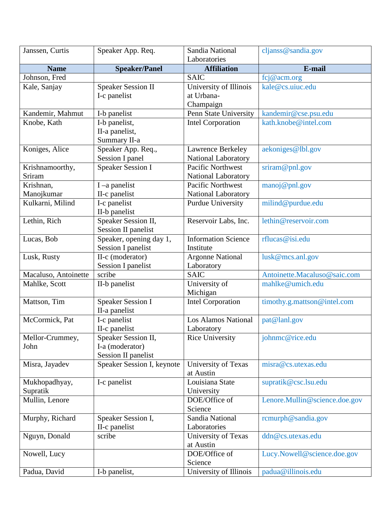| Janssen, Curtis      | Speaker App. Req.          | Sandia National              | cljanss@sandia.gov            |
|----------------------|----------------------------|------------------------------|-------------------------------|
|                      |                            | Laboratories                 |                               |
| <b>Name</b>          | <b>Speaker/Panel</b>       | <b>Affiliation</b>           | E-mail                        |
| Johnson, Fred        |                            | <b>SAIC</b>                  | fcj@acm.org                   |
| Kale, Sanjay         | <b>Speaker Session II</b>  | University of Illinois       | kale@cs.uiuc.edu              |
|                      | I-c panelist               | at Urbana-                   |                               |
|                      |                            | Champaign                    |                               |
| Kandemir, Mahmut     | I-b panelist               | Penn State University        | kandemir@cse.psu.edu          |
| Knobe, Kath          | I-b panelist,              | <b>Intel Corporation</b>     | kath.knobe@intel.com          |
|                      | II-a panelist,             |                              |                               |
|                      | Summary II-a               |                              |                               |
| Koniges, Alice       | Speaker App. Req.,         | Lawrence Berkeley            | aekoniges@lbl.gov             |
|                      | Session I panel            | <b>National Laboratory</b>   |                               |
| Krishnamoorthy,      | <b>Speaker Session I</b>   | Pacific Northwest            | sriram@pnl.gov                |
| Sriram               |                            | National Laboratory          |                               |
| Krishnan,            | $I$ –a panelist            | Pacific Northwest            | manoj@pnl.gov                 |
| Manojkumar           | II-c panelist              | National Laboratory          |                               |
| Kulkarni, Milind     | I-c panelist               | Purdue University            | milind@purdue.edu             |
|                      | II-b panelist              |                              |                               |
| Lethin, Rich         | Speaker Session II,        | Reservoir Labs, Inc.         | lethin@reservoir.com          |
|                      | Session II panelist        |                              |                               |
| Lucas, Bob           | Speaker, opening day 1,    | <b>Information Science</b>   | rflucas@isi.edu               |
|                      | <b>Session I panelist</b>  | Institute                    |                               |
| Lusk, Rusty          | II-c (moderator)           | <b>Argonne National</b>      | lusk@mcs.anl.gov              |
|                      | <b>Session I panelist</b>  | Laboratory                   |                               |
| Macaluso, Antoinette | scribe                     | <b>SAIC</b>                  | Antoinette.Macaluso@saic.com  |
| Mahlke, Scott        | II-b panelist              | University of                | mahlke@umich.edu              |
|                      |                            | Michigan                     |                               |
| Mattson, Tim         | <b>Speaker Session I</b>   | <b>Intel Corporation</b>     | timothy.g.mattson@intel.com   |
|                      | II-a panelist              |                              |                               |
| McCormick, Pat       | I-c panelist               | <b>Los Alamos National</b>   | pat@lanl.gov                  |
|                      | II-c panelist              | Laboratory                   |                               |
| Mellor-Crummey,      | Speaker Session II,        | <b>Rice University</b>       | johnmc@rice.edu               |
| John                 | I-a (moderator)            |                              |                               |
|                      | <b>Session II panelist</b> |                              |                               |
| Misra, Jayadev       | Speaker Session I, keynote | University of Texas          | misra@cs.utexas.edu           |
|                      |                            | at Austin<br>Louisiana State |                               |
| Mukhopadhyay,        | I-c panelist               |                              | supratik@csc.lsu.edu          |
| Supratik             |                            | University<br>DOE/Office of  |                               |
| Mullin, Lenore       |                            | Science                      | Lenore.Mullin@science.doe.gov |
|                      | Speaker Session I,         | Sandia National              |                               |
| Murphy, Richard      |                            | Laboratories                 | rcmurph@sandia.gov            |
| Nguyn, Donald        | II-c panelist<br>scribe    | University of Texas          | ddn@cs.utexas.edu             |
|                      |                            | at Austin                    |                               |
| Nowell, Lucy         |                            | DOE/Office of                | Lucy.Nowell@science.doe.gov   |
|                      |                            | Science                      |                               |
| Padua, David         | I-b panelist,              | University of Illinois       | padua@illinois.edu            |
|                      |                            |                              |                               |